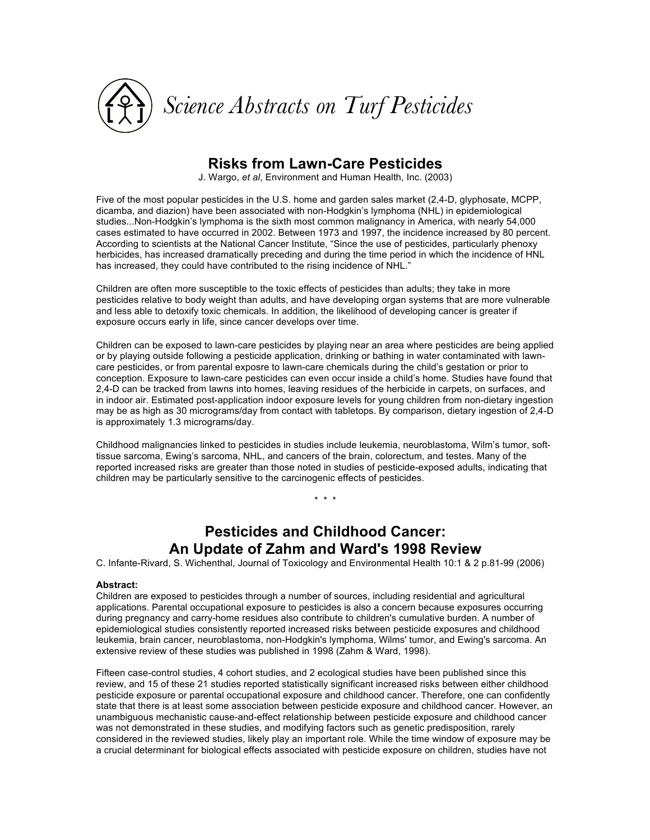

### **Risks from Lawn-Care Pesticides**

J. Wargo, *et al*, Environment and Human Health, Inc. (2003)

Five of the most popular pesticides in the U.S. home and garden sales market (2,4-D, glyphosate, MCPP, dicamba, and diazion) have been associated with non-Hodgkin's lymphoma (NHL) in epidemiological studies...Non-Hodgkin's lymphoma is the sixth most common malignancy in America, with nearly 54,000 cases estimated to have occurred in 2002. Between 1973 and 1997, the incidence increased by 80 percent. According to scientists at the National Cancer Institute, "Since the use of pesticides, particularly phenoxy herbicides, has increased dramatically preceding and during the time period in which the incidence of HNL has increased, they could have contributed to the rising incidence of NHL."

Children are often more susceptible to the toxic effects of pesticides than adults; they take in more pesticides relative to body weight than adults, and have developing organ systems that are more vulnerable and less able to detoxify toxic chemicals. In addition, the likelihood of developing cancer is greater if exposure occurs early in life, since cancer develops over time.

Children can be exposed to lawn-care pesticides by playing near an area where pesticides are being applied or by playing outside following a pesticide application, drinking or bathing in water contaminated with lawncare pesticides, or from parental exposre to lawn-care chemicals during the child's gestation or prior to conception. Exposure to lawn-care pesticides can even occur inside a child's home. Studies have found that 2,4-D can be tracked from lawns into homes, leaving residues of the herbicide in carpets, on surfaces, and in indoor air. Estimated post-application indoor exposure levels for young children from non-dietary ingestion may be as high as 30 micrograms/day from contact with tabletops. By comparison, dietary ingestion of 2,4-D is approximately 1.3 micrograms/day.

Childhood malignancies linked to pesticides in studies include leukemia, neuroblastoma, Wilm's tumor, softtissue sarcoma, Ewing's sarcoma, NHL, and cancers of the brain, colorectum, and testes. Many of the reported increased risks are greater than those noted in studies of pesticide-exposed adults, indicating that children may be particularly sensitive to the carcinogenic effects of pesticides.

\* \* \*

# **Pesticides and Childhood Cancer: An Update of Zahm and Ward's 1998 Review**

C. Infante-Rivard, S. Wichenthal, Journal of Toxicology and Environmental Health 10:1 & 2 p.81-99 (2006)

### **Abstract:**

Children are exposed to pesticides through a number of sources, including residential and agricultural applications. Parental occupational exposure to pesticides is also a concern because exposures occurring during pregnancy and carry-home residues also contribute to children's cumulative burden. A number of epidemiological studies consistently reported increased risks between pesticide exposures and childhood leukemia, brain cancer, neuroblastoma, non-Hodgkin's lymphoma, Wilms' tumor, and Ewing's sarcoma. An extensive review of these studies was published in 1998 (Zahm & Ward, 1998).

Fifteen case-control studies, 4 cohort studies, and 2 ecological studies have been published since this review, and 15 of these 21 studies reported statistically significant increased risks between either childhood pesticide exposure or parental occupational exposure and childhood cancer. Therefore, one can confidently state that there is at least some association between pesticide exposure and childhood cancer. However, an unambiguous mechanistic cause-and-effect relationship between pesticide exposure and childhood cancer was not demonstrated in these studies, and modifying factors such as genetic predisposition, rarely considered in the reviewed studies, likely play an important role. While the time window of exposure may be a crucial determinant for biological effects associated with pesticide exposure on children, studies have not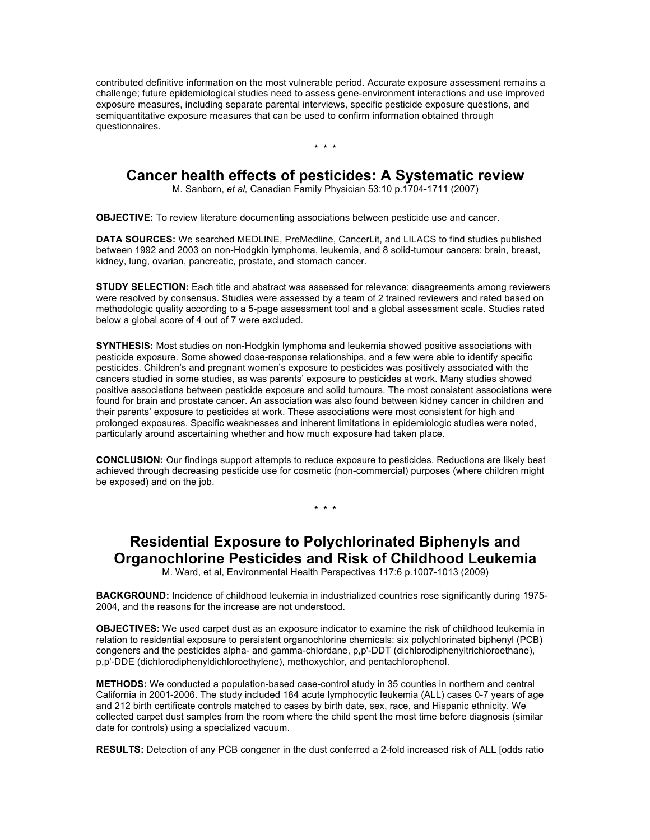contributed definitive information on the most vulnerable period. Accurate exposure assessment remains a challenge; future epidemiological studies need to assess gene-environment interactions and use improved exposure measures, including separate parental interviews, specific pesticide exposure questions, and semiquantitative exposure measures that can be used to confirm information obtained through questionnaires.

\* \* \*

### **Cancer health effects of pesticides: A Systematic review**

M. Sanborn, *et al,* Canadian Family Physician 53:10 p.1704-1711 (2007)

**OBJECTIVE:** To review literature documenting associations between pesticide use and cancer.

**DATA SOURCES:** We searched MEDLINE, PreMedline, CancerLit, and LILACS to find studies published between 1992 and 2003 on non-Hodgkin lymphoma, leukemia, and 8 solid-tumour cancers: brain, breast, kidney, lung, ovarian, pancreatic, prostate, and stomach cancer.

**STUDY SELECTION:** Each title and abstract was assessed for relevance; disagreements among reviewers were resolved by consensus. Studies were assessed by a team of 2 trained reviewers and rated based on methodologic quality according to a 5-page assessment tool and a global assessment scale. Studies rated below a global score of 4 out of 7 were excluded.

**SYNTHESIS:** Most studies on non-Hodgkin lymphoma and leukemia showed positive associations with pesticide exposure. Some showed dose-response relationships, and a few were able to identify specific pesticides. Children's and pregnant women's exposure to pesticides was positively associated with the cancers studied in some studies, as was parents' exposure to pesticides at work. Many studies showed positive associations between pesticide exposure and solid tumours. The most consistent associations were found for brain and prostate cancer. An association was also found between kidney cancer in children and their parents' exposure to pesticides at work. These associations were most consistent for high and prolonged exposures. Specific weaknesses and inherent limitations in epidemiologic studies were noted, particularly around ascertaining whether and how much exposure had taken place.

**CONCLUSION:** Our findings support attempts to reduce exposure to pesticides. Reductions are likely best achieved through decreasing pesticide use for cosmetic (non-commercial) purposes (where children might be exposed) and on the job.

**\* \* \*** 

## **Residential Exposure to Polychlorinated Biphenyls and Organochlorine Pesticides and Risk of Childhood Leukemia**

M. Ward, et al, Environmental Health Perspectives 117:6 p.1007-1013 (2009)

**BACKGROUND:** Incidence of childhood leukemia in industrialized countries rose significantly during 1975- 2004, and the reasons for the increase are not understood.

**OBJECTIVES:** We used carpet dust as an exposure indicator to examine the risk of childhood leukemia in relation to residential exposure to persistent organochlorine chemicals: six polychlorinated biphenyl (PCB) congeners and the pesticides alpha- and gamma-chlordane, p,p'-DDT (dichlorodiphenyltrichloroethane), p,p'-DDE (dichlorodiphenyldichloroethylene), methoxychlor, and pentachlorophenol.

**METHODS:** We conducted a population-based case-control study in 35 counties in northern and central California in 2001-2006. The study included 184 acute lymphocytic leukemia (ALL) cases 0-7 years of age and 212 birth certificate controls matched to cases by birth date, sex, race, and Hispanic ethnicity. We collected carpet dust samples from the room where the child spent the most time before diagnosis (similar date for controls) using a specialized vacuum.

**RESULTS:** Detection of any PCB congener in the dust conferred a 2-fold increased risk of ALL [odds ratio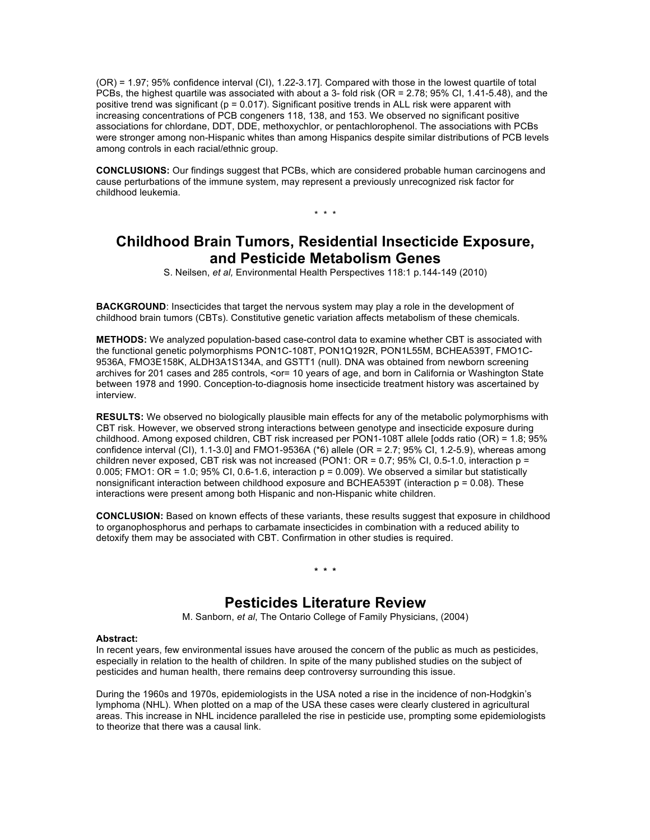(OR) = 1.97; 95% confidence interval (CI), 1.22-3.17]. Compared with those in the lowest quartile of total PCBs, the highest quartile was associated with about a 3- fold risk (OR = 2.78; 95% CI, 1.41-5.48), and the positive trend was significant (p = 0.017). Significant positive trends in ALL risk were apparent with increasing concentrations of PCB congeners 118, 138, and 153. We observed no significant positive associations for chlordane, DDT, DDE, methoxychlor, or pentachlorophenol. The associations with PCBs were stronger among non-Hispanic whites than among Hispanics despite similar distributions of PCB levels among controls in each racial/ethnic group.

**CONCLUSIONS:** Our findings suggest that PCBs, which are considered probable human carcinogens and cause perturbations of the immune system, may represent a previously unrecognized risk factor for childhood leukemia.

\* \* \*

## **Childhood Brain Tumors, Residential Insecticide Exposure, and Pesticide Metabolism Genes**

S. Neilsen, *et al,* Environmental Health Perspectives 118:1 p.144-149 (2010)

**BACKGROUND:** Insecticides that target the nervous system may play a role in the development of childhood brain tumors (CBTs). Constitutive genetic variation affects metabolism of these chemicals.

**METHODS:** We analyzed population-based case-control data to examine whether CBT is associated with the functional genetic polymorphisms PON1C-108T, PON1Q192R, PON1L55M, BCHEA539T, FMO1C-9536A, FMO3E158K, ALDH3A1S134A, and GSTT1 (null). DNA was obtained from newborn screening archives for 201 cases and 285 controls, <or= 10 years of age, and born in California or Washington State between 1978 and 1990. Conception-to-diagnosis home insecticide treatment history was ascertained by interview.

**RESULTS:** We observed no biologically plausible main effects for any of the metabolic polymorphisms with CBT risk. However, we observed strong interactions between genotype and insecticide exposure during childhood. Among exposed children, CBT risk increased per PON1-108T allele [odds ratio (OR) = 1.8; 95% confidence interval (CI), 1.1-3.0] and FMO1-9536A (\*6) allele (OR = 2.7; 95% CI, 1.2-5.9), whereas among children never exposed, CBT risk was not increased (PON1: OR = 0.7; 95% CI, 0.5-1.0, interaction p = 0.005; FMO1: OR = 1.0; 95% CI, 0.6-1.6, interaction  $p = 0.009$ ). We observed a similar but statistically nonsignificant interaction between childhood exposure and BCHEA539T (interaction  $p = 0.08$ ). These interactions were present among both Hispanic and non-Hispanic white children.

**CONCLUSION:** Based on known effects of these variants, these results suggest that exposure in childhood to organophosphorus and perhaps to carbamate insecticides in combination with a reduced ability to detoxify them may be associated with CBT. Confirmation in other studies is required.

### **\* \* \***

### **Pesticides Literature Review**

M. Sanborn, *et al*, The Ontario College of Family Physicians, (2004)

#### **Abstract:**

In recent years, few environmental issues have aroused the concern of the public as much as pesticides, especially in relation to the health of children. In spite of the many published studies on the subject of pesticides and human health, there remains deep controversy surrounding this issue.

During the 1960s and 1970s, epidemiologists in the USA noted a rise in the incidence of non-Hodgkin's lymphoma (NHL). When plotted on a map of the USA these cases were clearly clustered in agricultural areas. This increase in NHL incidence paralleled the rise in pesticide use, prompting some epidemiologists to theorize that there was a causal link.